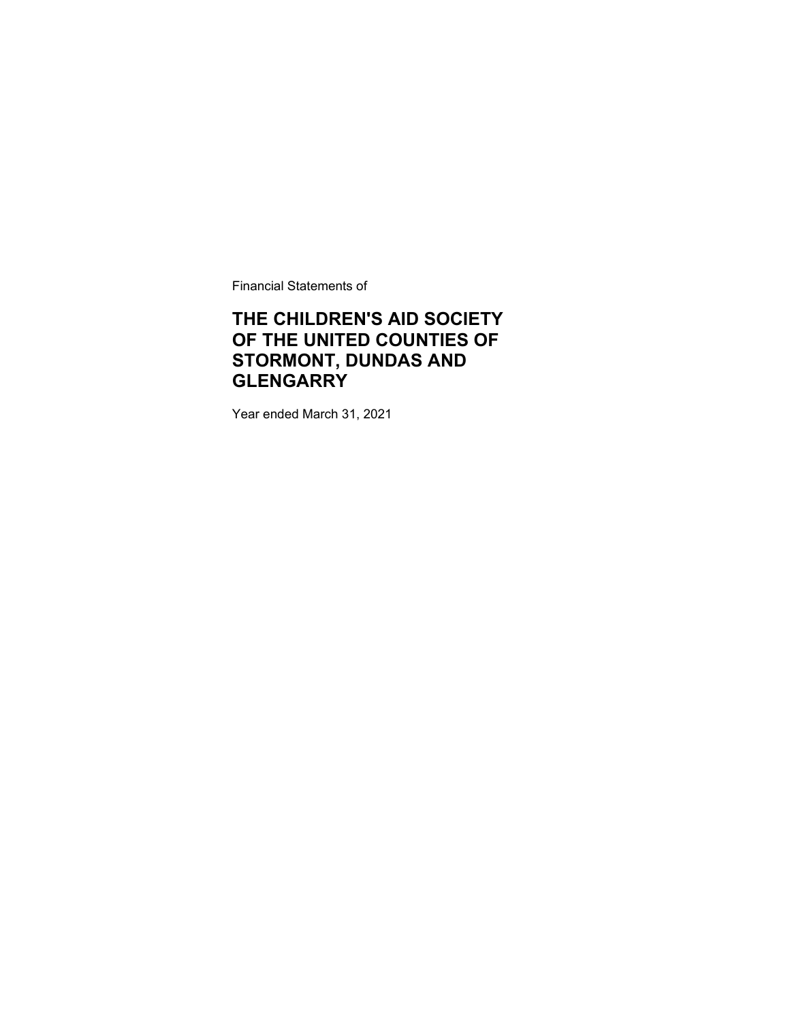Financial Statements of

### **THE CHILDREN'S AID SOCIETY OF THE UNITED COUNTIES OF STORMONT, DUNDAS AND GLENGARRY**

Year ended March 31, 2021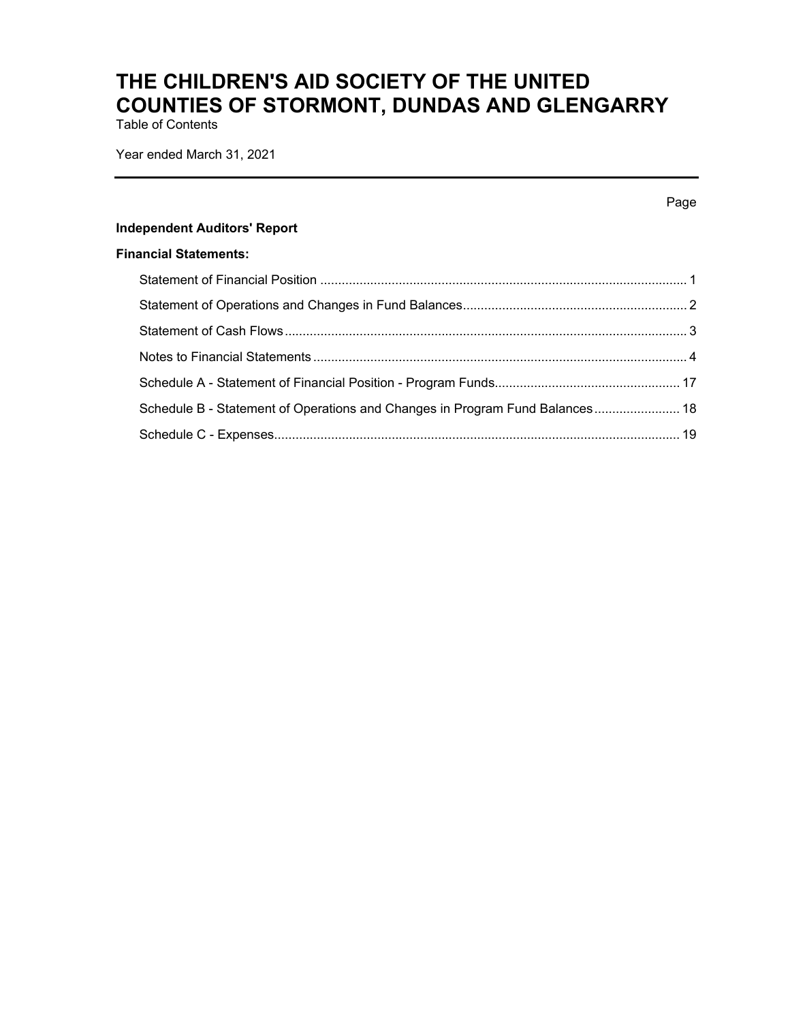Table of Contents

Year ended March 31, 2021

|                                                                              | Page |
|------------------------------------------------------------------------------|------|
| <b>Independent Auditors' Report</b>                                          |      |
| <b>Financial Statements:</b>                                                 |      |
|                                                                              |      |
|                                                                              |      |
|                                                                              |      |
|                                                                              |      |
|                                                                              |      |
| Schedule B - Statement of Operations and Changes in Program Fund Balances 18 |      |
|                                                                              |      |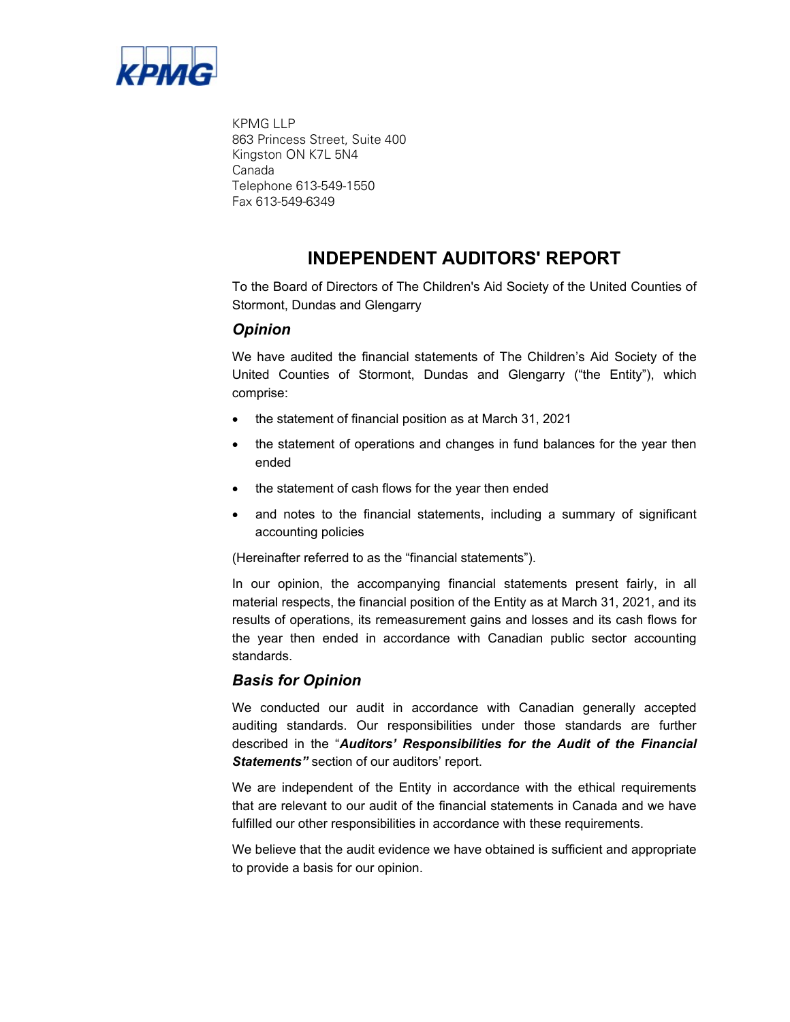

KPMG LLP 863 Princess Street, Suite 400 Kingston ON K7L 5N4 Canada Telephone 613-549-1550 Fax 613-549-6349

### **INDEPENDENT AUDITORS' REPORT**

To the Board of Directors of The Children's Aid Society of the United Counties of Stormont, Dundas and Glengarry

### *Opinion*

We have audited the financial statements of The Children's Aid Society of the United Counties of Stormont, Dundas and Glengarry ("the Entity"), which comprise:

- the statement of financial position as at March 31, 2021
- the statement of operations and changes in fund balances for the year then ended
- the statement of cash flows for the year then ended
- and notes to the financial statements, including a summary of significant accounting policies

(Hereinafter referred to as the "financial statements").

In our opinion, the accompanying financial statements present fairly, in all material respects, the financial position of the Entity as at March 31, 2021, and its results of operations, its remeasurement gains and losses and its cash flows for the year then ended in accordance with Canadian public sector accounting standards.

### *Basis for Opinion*

We conducted our audit in accordance with Canadian generally accepted auditing standards. Our responsibilities under those standards are further described in the "*Auditors' Responsibilities for the Audit of the Financial Statements"* section of our auditors' report.

We are independent of the Entity in accordance with the ethical requirements that are relevant to our audit of the financial statements in Canada and we have fulfilled our other responsibilities in accordance with these requirements.

We believe that the audit evidence we have obtained is sufficient and appropriate to provide a basis for our opinion.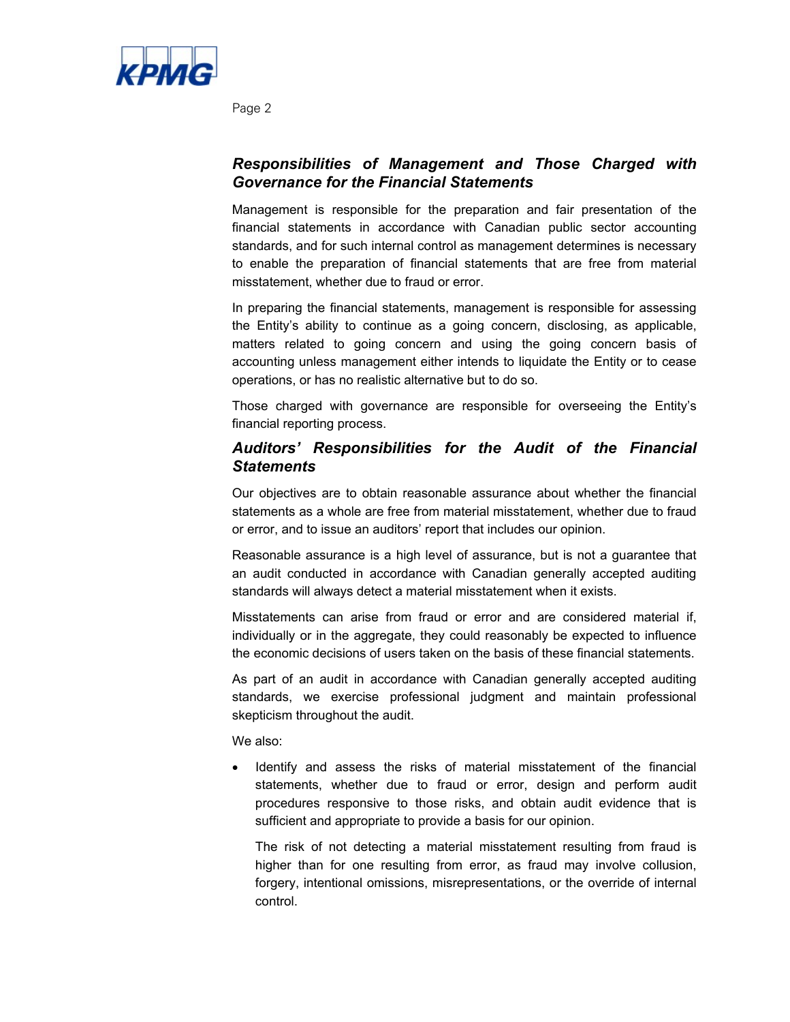

Page 2

### *Responsibilities of Management and Those Charged with Governance for the Financial Statements*

Management is responsible for the preparation and fair presentation of the financial statements in accordance with Canadian public sector accounting standards, and for such internal control as management determines is necessary to enable the preparation of financial statements that are free from material misstatement, whether due to fraud or error.

In preparing the financial statements, management is responsible for assessing the Entity's ability to continue as a going concern, disclosing, as applicable, matters related to going concern and using the going concern basis of accounting unless management either intends to liquidate the Entity or to cease operations, or has no realistic alternative but to do so.

Those charged with governance are responsible for overseeing the Entity's financial reporting process.

### *Auditors' Responsibilities for the Audit of the Financial Statements*

Our objectives are to obtain reasonable assurance about whether the financial statements as a whole are free from material misstatement, whether due to fraud or error, and to issue an auditors' report that includes our opinion.

Reasonable assurance is a high level of assurance, but is not a guarantee that an audit conducted in accordance with Canadian generally accepted auditing standards will always detect a material misstatement when it exists.

Misstatements can arise from fraud or error and are considered material if, individually or in the aggregate, they could reasonably be expected to influence the economic decisions of users taken on the basis of these financial statements.

As part of an audit in accordance with Canadian generally accepted auditing standards, we exercise professional judgment and maintain professional skepticism throughout the audit.

We also:

 Identify and assess the risks of material misstatement of the financial statements, whether due to fraud or error, design and perform audit procedures responsive to those risks, and obtain audit evidence that is sufficient and appropriate to provide a basis for our opinion.

The risk of not detecting a material misstatement resulting from fraud is higher than for one resulting from error, as fraud may involve collusion, forgery, intentional omissions, misrepresentations, or the override of internal control.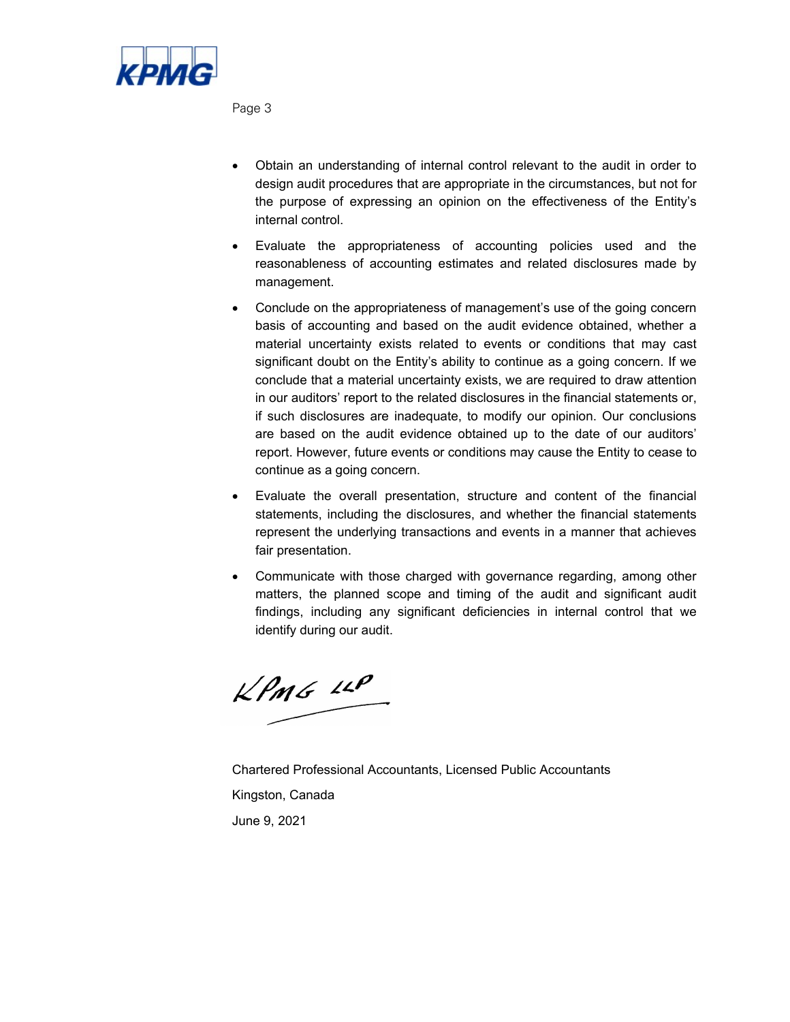

Page 3

- Obtain an understanding of internal control relevant to the audit in order to design audit procedures that are appropriate in the circumstances, but not for the purpose of expressing an opinion on the effectiveness of the Entity's internal control.
- Evaluate the appropriateness of accounting policies used and the reasonableness of accounting estimates and related disclosures made by management.
- Conclude on the appropriateness of management's use of the going concern basis of accounting and based on the audit evidence obtained, whether a material uncertainty exists related to events or conditions that may cast significant doubt on the Entity's ability to continue as a going concern. If we conclude that a material uncertainty exists, we are required to draw attention in our auditors' report to the related disclosures in the financial statements or, if such disclosures are inadequate, to modify our opinion. Our conclusions are based on the audit evidence obtained up to the date of our auditors' report. However, future events or conditions may cause the Entity to cease to continue as a going concern.
- Evaluate the overall presentation, structure and content of the financial statements, including the disclosures, and whether the financial statements represent the underlying transactions and events in a manner that achieves fair presentation.
- Communicate with those charged with governance regarding, among other matters, the planned scope and timing of the audit and significant audit findings, including any significant deficiencies in internal control that we identify during our audit.

 $KPMG$  14P

Chartered Professional Accountants, Licensed Public Accountants Kingston, Canada June 9, 2021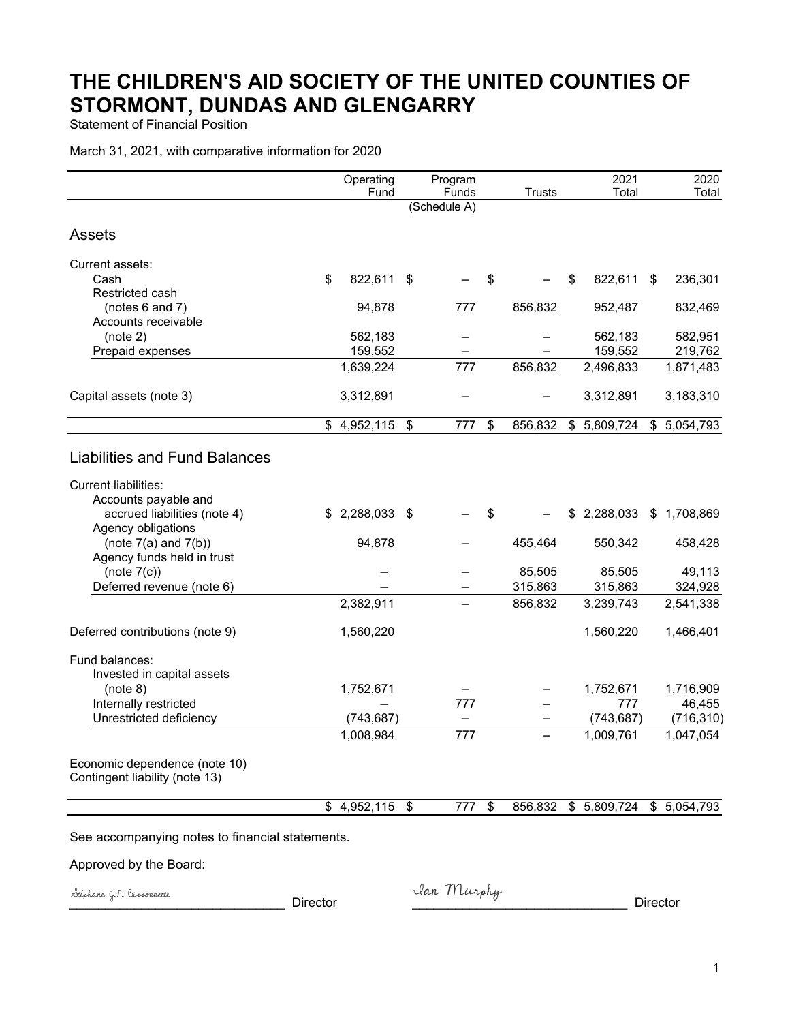Statement of Financial Position

#### March 31, 2021, with comparative information for 2020

|                                                                 | Operating          |      | Program               |               | 2021                          | 2020        |
|-----------------------------------------------------------------|--------------------|------|-----------------------|---------------|-------------------------------|-------------|
|                                                                 |                    | Fund | Funds<br>(Schedule A) | Trusts        | Total                         | Total       |
| Assets                                                          |                    |      |                       |               |                               |             |
|                                                                 |                    |      |                       |               |                               |             |
| Current assets:                                                 |                    |      |                       |               |                               |             |
| Cash<br>Restricted cash                                         | \$<br>822,611      |      | \$                    | \$            | \$<br>822,611 \$              | 236,301     |
| (notes 6 and 7)                                                 | 94,878             |      | 777                   | 856,832       | 952,487                       | 832,469     |
| Accounts receivable                                             |                    |      |                       |               |                               |             |
| (note 2)                                                        | 562,183            |      |                       |               | 562,183                       | 582,951     |
| Prepaid expenses                                                | 159,552            |      |                       |               | 159,552                       | 219,762     |
|                                                                 | 1,639,224          |      | 777                   | 856,832       | 2,496,833                     | 1,871,483   |
| Capital assets (note 3)                                         | 3,312,891          |      |                       |               | 3,312,891                     | 3,183,310   |
|                                                                 | \$4,952,115        | \$   | 777                   | \$<br>856,832 | \$5,809,724                   | \$5,054,793 |
| <b>Liabilities and Fund Balances</b>                            |                    |      |                       |               |                               |             |
| <b>Current liabilities:</b>                                     |                    |      |                       |               |                               |             |
| Accounts payable and                                            |                    |      |                       |               |                               |             |
| accrued liabilities (note 4)                                    | 2,288,033 \$<br>\$ |      |                       | \$            | 2,288,033 \$ 1,708,869<br>\$. |             |
| Agency obligations<br>(note $7(a)$ and $7(b)$ )                 | 94,878             |      |                       | 455,464       | 550,342                       | 458,428     |
| Agency funds held in trust                                      |                    |      |                       |               |                               |             |
| (note $7(c)$ )                                                  |                    |      |                       | 85,505        | 85,505                        | 49,113      |
| Deferred revenue (note 6)                                       |                    |      |                       | 315,863       | 315,863                       | 324,928     |
|                                                                 | 2,382,911          |      |                       | 856,832       | 3,239,743                     | 2,541,338   |
| Deferred contributions (note 9)                                 | 1,560,220          |      |                       |               | 1,560,220                     | 1,466,401   |
| Fund balances:                                                  |                    |      |                       |               |                               |             |
| Invested in capital assets                                      |                    |      |                       |               |                               |             |
| (note 8)                                                        | 1,752,671          |      |                       |               | 1,752,671                     | 1,716,909   |
| Internally restricted                                           |                    |      | 777                   |               | 777                           | 46,455      |
| Unrestricted deficiency                                         | (743, 687)         |      |                       |               | (743, 687)                    | (716, 310)  |
|                                                                 | 1,008,984          |      | 777                   |               | 1,009,761                     | 1,047,054   |
| Economic dependence (note 10)<br>Contingent liability (note 13) |                    |      |                       |               |                               |             |
|                                                                 | 4,952,115<br>\$    |      | 777<br>\$             | \$<br>856,832 | \$5,809,724                   | \$5,054,793 |
|                                                                 |                    |      |                       |               |                               |             |

See accompanying notes to financial statements.

Approved by the Board:

 $\frac{d}{dx}$   $\frac{d}{dx}$   $\frac{d}{dx}$   $\frac{d}{dx}$  Director  $\frac{d}{dx}$  Director  $\frac{d}{dx}$  Director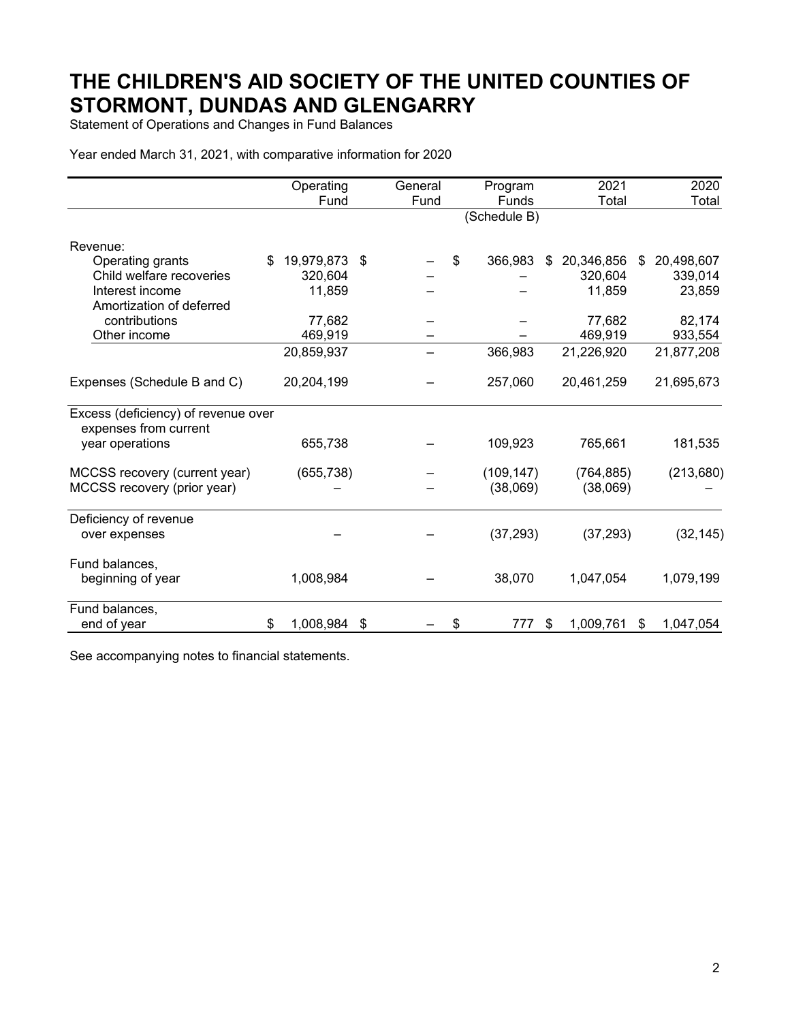Statement of Operations and Changes in Fund Balances

#### Year ended March 31, 2021, with comparative information for 2020

|                                                              | Operating        |     | General | Program             | 2021       | 2020             |
|--------------------------------------------------------------|------------------|-----|---------|---------------------|------------|------------------|
|                                                              | Fund             |     | Fund    | <b>Funds</b>        | Total      | Total            |
|                                                              |                  |     |         | (Schedule B)        |            |                  |
| Revenue:                                                     |                  |     |         |                     |            |                  |
| Operating grants                                             | \$<br>19,979,873 | -\$ |         | \$<br>366,983<br>\$ | 20,346,856 | \$<br>20,498,607 |
| Child welfare recoveries                                     | 320,604          |     |         |                     | 320,604    | 339,014          |
| Interest income                                              | 11,859           |     |         |                     | 11,859     | 23,859           |
| Amortization of deferred                                     |                  |     |         |                     |            |                  |
| contributions                                                | 77,682           |     |         |                     | 77,682     | 82,174           |
| Other income                                                 | 469,919          |     |         |                     | 469,919    | 933,554          |
|                                                              | 20,859,937       |     |         | 366,983             | 21,226,920 | 21,877,208       |
| Expenses (Schedule B and C)                                  | 20,204,199       |     |         | 257,060             | 20,461,259 | 21,695,673       |
| Excess (deficiency) of revenue over<br>expenses from current |                  |     |         |                     |            |                  |
| year operations                                              | 655,738          |     |         | 109,923             | 765,661    | 181,535          |
| MCCSS recovery (current year)                                | (655, 738)       |     |         | (109, 147)          | (764, 885) | (213, 680)       |
| MCCSS recovery (prior year)                                  |                  |     |         | (38,069)            | (38,069)   |                  |
| Deficiency of revenue                                        |                  |     |         |                     |            |                  |
| over expenses                                                |                  |     |         | (37, 293)           | (37, 293)  | (32, 145)        |
| Fund balances,                                               |                  |     |         |                     |            |                  |
| beginning of year                                            | 1,008,984        |     |         | 38,070              | 1,047,054  | 1,079,199        |
| Fund balances,                                               |                  |     |         |                     |            |                  |
| end of year                                                  | \$<br>1,008,984  | \$  |         | \$<br>777<br>\$     | 1,009,761  | \$<br>1,047,054  |

See accompanying notes to financial statements.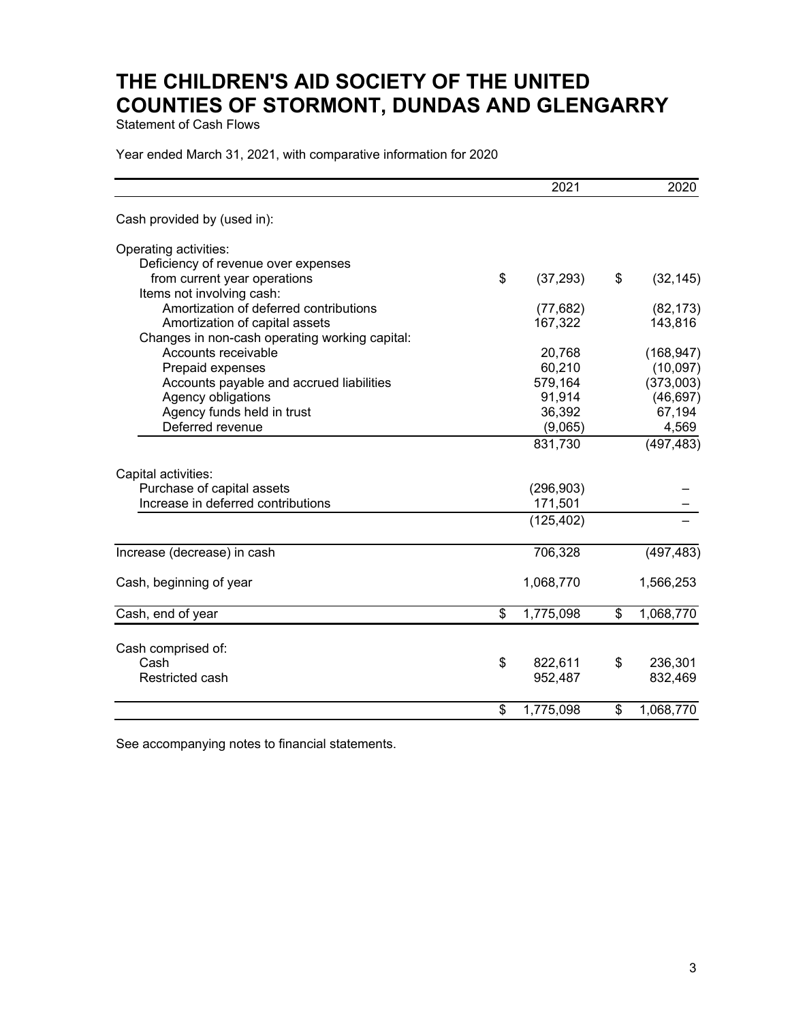Statement of Cash Flows

Year ended March 31, 2021, with comparative information for 2020

|                                                | 2021            | 2020            |
|------------------------------------------------|-----------------|-----------------|
| Cash provided by (used in):                    |                 |                 |
| Operating activities:                          |                 |                 |
| Deficiency of revenue over expenses            |                 |                 |
| from current year operations                   | \$<br>(37, 293) | \$<br>(32, 145) |
| Items not involving cash:                      |                 |                 |
| Amortization of deferred contributions         | (77, 682)       | (82, 173)       |
| Amortization of capital assets                 | 167,322         | 143,816         |
| Changes in non-cash operating working capital: |                 |                 |
| Accounts receivable                            | 20,768          | (168, 947)      |
| Prepaid expenses                               | 60,210          | (10,097)        |
| Accounts payable and accrued liabilities       | 579,164         | (373,003)       |
| Agency obligations                             | 91,914          | (46, 697)       |
| Agency funds held in trust                     | 36,392          | 67,194          |
| Deferred revenue                               | (9,065)         | 4,569           |
|                                                | 831,730         | (497, 483)      |
| Capital activities:                            |                 |                 |
| Purchase of capital assets                     | (296, 903)      |                 |
| Increase in deferred contributions             | 171,501         |                 |
|                                                | (125, 402)      |                 |
| Increase (decrease) in cash                    | 706,328         | (497, 483)      |
|                                                |                 |                 |
| Cash, beginning of year                        | 1,068,770       | 1,566,253       |
| Cash, end of year                              | \$<br>1,775,098 | \$<br>1,068,770 |
|                                                |                 |                 |
| Cash comprised of:                             |                 |                 |
| Cash                                           | \$<br>822,611   | \$<br>236,301   |
| Restricted cash                                | 952,487         | 832,469         |
|                                                |                 |                 |
|                                                | \$<br>1,775,098 | \$<br>1,068,770 |

See accompanying notes to financial statements.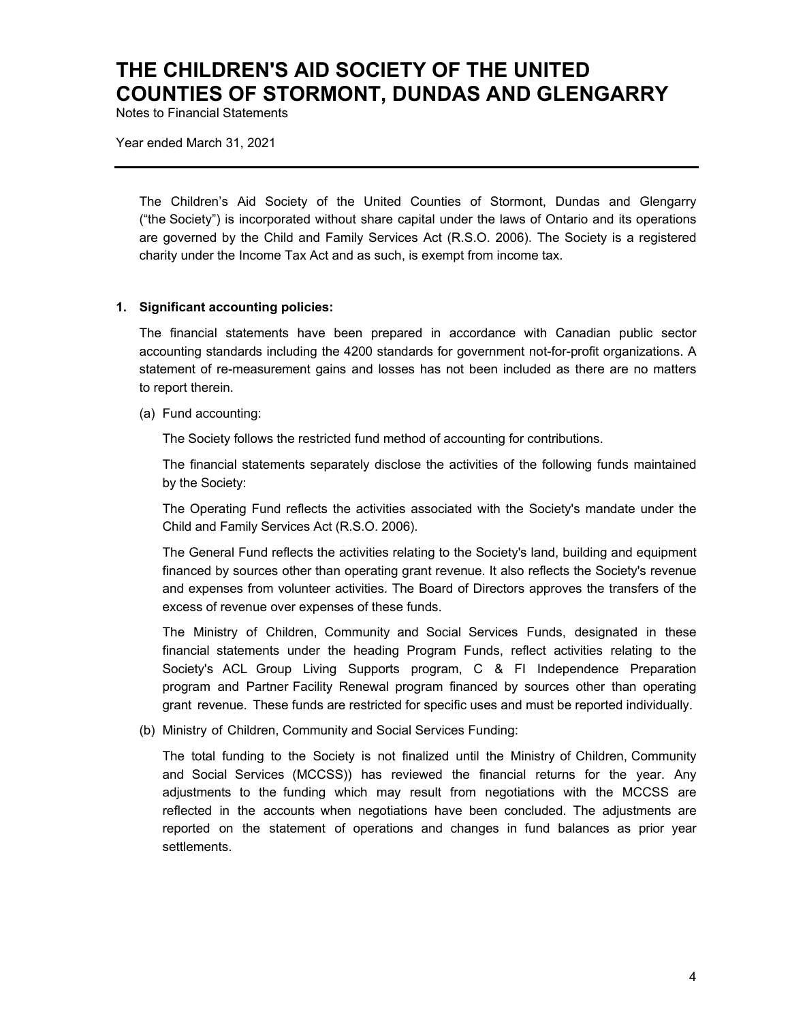Notes to Financial Statements

Year ended March 31, 2021

The Children's Aid Society of the United Counties of Stormont, Dundas and Glengarry ("the Society") is incorporated without share capital under the laws of Ontario and its operations are governed by the Child and Family Services Act (R.S.O. 2006). The Society is a registered charity under the Income Tax Act and as such, is exempt from income tax.

#### **1. Significant accounting policies:**

The financial statements have been prepared in accordance with Canadian public sector accounting standards including the 4200 standards for government not-for-profit organizations. A statement of re-measurement gains and losses has not been included as there are no matters to report therein.

(a) Fund accounting:

The Society follows the restricted fund method of accounting for contributions.

The financial statements separately disclose the activities of the following funds maintained by the Society:

The Operating Fund reflects the activities associated with the Society's mandate under the Child and Family Services Act (R.S.O. 2006).

The General Fund reflects the activities relating to the Society's land, building and equipment financed by sources other than operating grant revenue. It also reflects the Society's revenue and expenses from volunteer activities. The Board of Directors approves the transfers of the excess of revenue over expenses of these funds.

The Ministry of Children, Community and Social Services Funds, designated in these financial statements under the heading Program Funds, reflect activities relating to the Society's ACL Group Living Supports program, C & FI Independence Preparation program and Partner Facility Renewal program financed by sources other than operating grant revenue. These funds are restricted for specific uses and must be reported individually.

(b) Ministry of Children, Community and Social Services Funding:

The total funding to the Society is not finalized until the Ministry of Children, Community and Social Services (MCCSS)) has reviewed the financial returns for the year. Any adjustments to the funding which may result from negotiations with the MCCSS are reflected in the accounts when negotiations have been concluded. The adjustments are reported on the statement of operations and changes in fund balances as prior year settlements.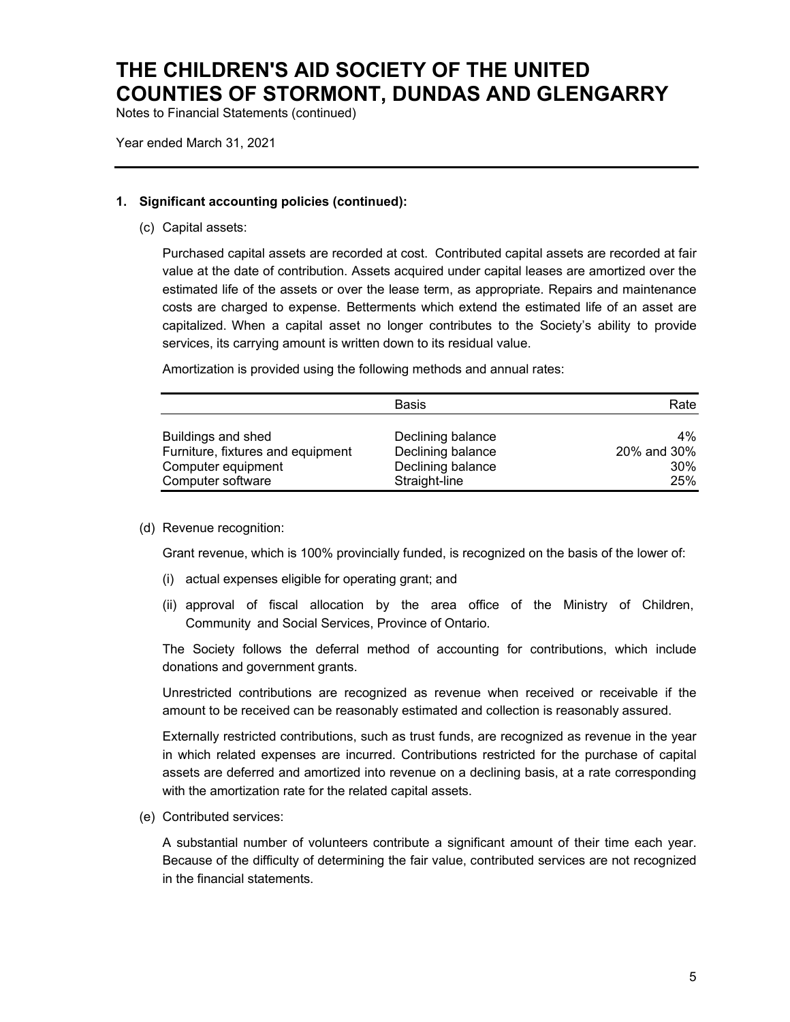Notes to Financial Statements (continued)

Year ended March 31, 2021

#### **1. Significant accounting policies (continued):**

(c) Capital assets:

Purchased capital assets are recorded at cost. Contributed capital assets are recorded at fair value at the date of contribution. Assets acquired under capital leases are amortized over the estimated life of the assets or over the lease term, as appropriate. Repairs and maintenance costs are charged to expense. Betterments which extend the estimated life of an asset are capitalized. When a capital asset no longer contributes to the Society's ability to provide services, its carrying amount is written down to its residual value.

Amortization is provided using the following methods and annual rates:

|                                   | <b>Basis</b>      | Rate        |
|-----------------------------------|-------------------|-------------|
| <b>Buildings and shed</b>         | Declining balance | 4%          |
| Furniture, fixtures and equipment | Declining balance | 20% and 30% |
| Computer equipment                | Declining balance | 30%         |
| Computer software                 | Straight-line     | 25%         |

#### (d) Revenue recognition:

Grant revenue, which is 100% provincially funded, is recognized on the basis of the lower of:

- (i) actual expenses eligible for operating grant; and
- (ii) approval of fiscal allocation by the area office of the Ministry of Children, Community and Social Services, Province of Ontario.

The Society follows the deferral method of accounting for contributions, which include donations and government grants.

Unrestricted contributions are recognized as revenue when received or receivable if the amount to be received can be reasonably estimated and collection is reasonably assured.

Externally restricted contributions, such as trust funds, are recognized as revenue in the year in which related expenses are incurred. Contributions restricted for the purchase of capital assets are deferred and amortized into revenue on a declining basis, at a rate corresponding with the amortization rate for the related capital assets.

(e) Contributed services:

A substantial number of volunteers contribute a significant amount of their time each year. Because of the difficulty of determining the fair value, contributed services are not recognized in the financial statements.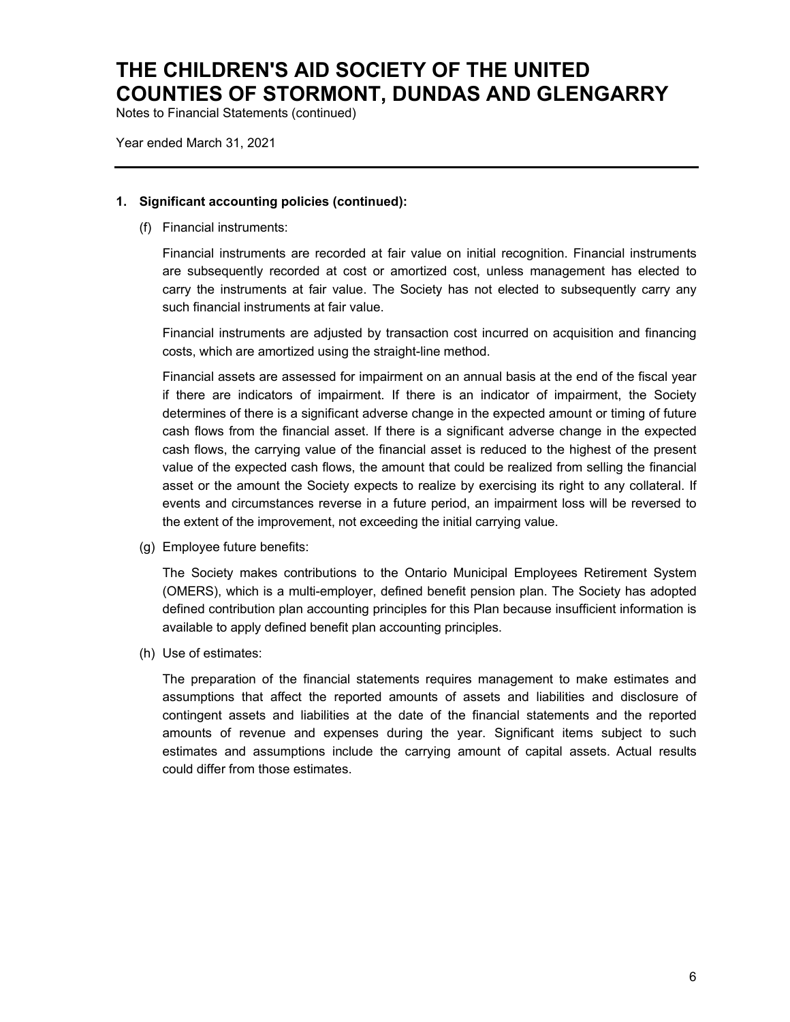Notes to Financial Statements (continued)

Year ended March 31, 2021

#### **1. Significant accounting policies (continued):**

(f) Financial instruments:

Financial instruments are recorded at fair value on initial recognition. Financial instruments are subsequently recorded at cost or amortized cost, unless management has elected to carry the instruments at fair value. The Society has not elected to subsequently carry any such financial instruments at fair value.

Financial instruments are adjusted by transaction cost incurred on acquisition and financing costs, which are amortized using the straight-line method.

Financial assets are assessed for impairment on an annual basis at the end of the fiscal year if there are indicators of impairment. If there is an indicator of impairment, the Society determines of there is a significant adverse change in the expected amount or timing of future cash flows from the financial asset. If there is a significant adverse change in the expected cash flows, the carrying value of the financial asset is reduced to the highest of the present value of the expected cash flows, the amount that could be realized from selling the financial asset or the amount the Society expects to realize by exercising its right to any collateral. If events and circumstances reverse in a future period, an impairment loss will be reversed to the extent of the improvement, not exceeding the initial carrying value.

(g) Employee future benefits:

The Society makes contributions to the Ontario Municipal Employees Retirement System (OMERS), which is a multi-employer, defined benefit pension plan. The Society has adopted defined contribution plan accounting principles for this Plan because insufficient information is available to apply defined benefit plan accounting principles.

(h) Use of estimates:

The preparation of the financial statements requires management to make estimates and assumptions that affect the reported amounts of assets and liabilities and disclosure of contingent assets and liabilities at the date of the financial statements and the reported amounts of revenue and expenses during the year. Significant items subject to such estimates and assumptions include the carrying amount of capital assets. Actual results could differ from those estimates.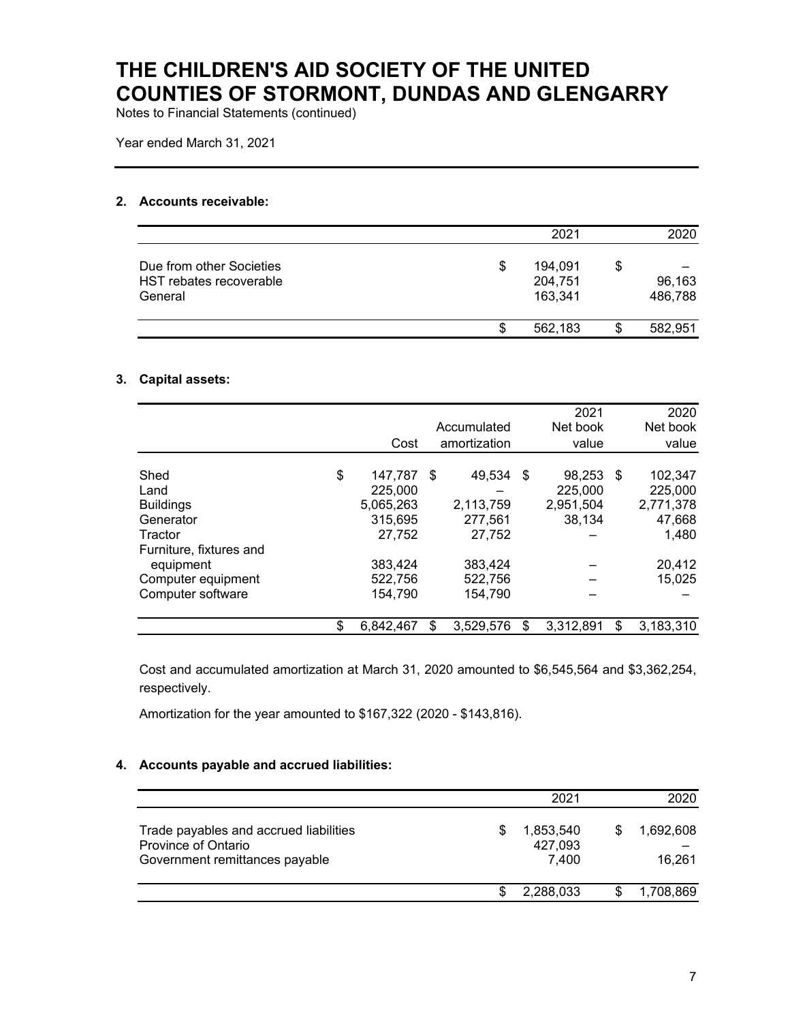Notes to Financial Statements (continued)

Year ended March 31, 2021

#### **2. Accounts receivable:**

|                                                                |    | 2021                          |    | 2020              |
|----------------------------------------------------------------|----|-------------------------------|----|-------------------|
| Due from other Societies<br>HST rebates recoverable<br>General | \$ | 194,091<br>204,751<br>163,341 | \$ | 96,163<br>486,788 |
|                                                                | S  | 562,183                       | S  | 582,951           |

#### **3. Capital assets:**

|                         |               |    |              |     | 2021      |      | 2020      |
|-------------------------|---------------|----|--------------|-----|-----------|------|-----------|
|                         |               |    | Accumulated  |     | Net book  |      | Net book  |
|                         | Cost          |    | amortization |     | value     |      | value     |
|                         |               |    |              |     |           |      |           |
| Shed                    | \$<br>147,787 | \$ | 49,534       | -\$ | 98,253    | - \$ | 102,347   |
| Land                    | 225,000       |    |              |     | 225,000   |      | 225,000   |
| <b>Buildings</b>        | 5,065,263     |    | 2,113,759    |     | 2,951,504 |      | 2,771,378 |
| Generator               | 315,695       |    | 277,561      |     | 38,134    |      | 47,668    |
| Tractor                 | 27.752        |    | 27.752       |     |           |      | 1,480     |
| Furniture, fixtures and |               |    |              |     |           |      |           |
| equipment               | 383,424       |    | 383,424      |     |           |      | 20,412    |
| Computer equipment      | 522,756       |    | 522,756      |     |           |      | 15,025    |
| Computer software       | 154,790       |    | 154,790      |     |           |      |           |
|                         | 6.842.467     | S  | 3.529.576    | \$  | 3,312,891 | \$   | 3,183,310 |

Cost and accumulated amortization at March 31, 2020 amounted to \$6,545,564 and \$3,362,254, respectively.

Amortization for the year amounted to \$167,322 (2020 - \$143,816).

#### **4. Accounts payable and accrued liabilities:**

|                                                                                                 | 2021                          | 2020                |
|-------------------------------------------------------------------------------------------------|-------------------------------|---------------------|
| Trade payables and accrued liabilities<br>Province of Ontario<br>Government remittances payable | 1,853,540<br>427,093<br>7.400 | 1,692,608<br>16.261 |
|                                                                                                 | 2,288,033                     | 1,708,869           |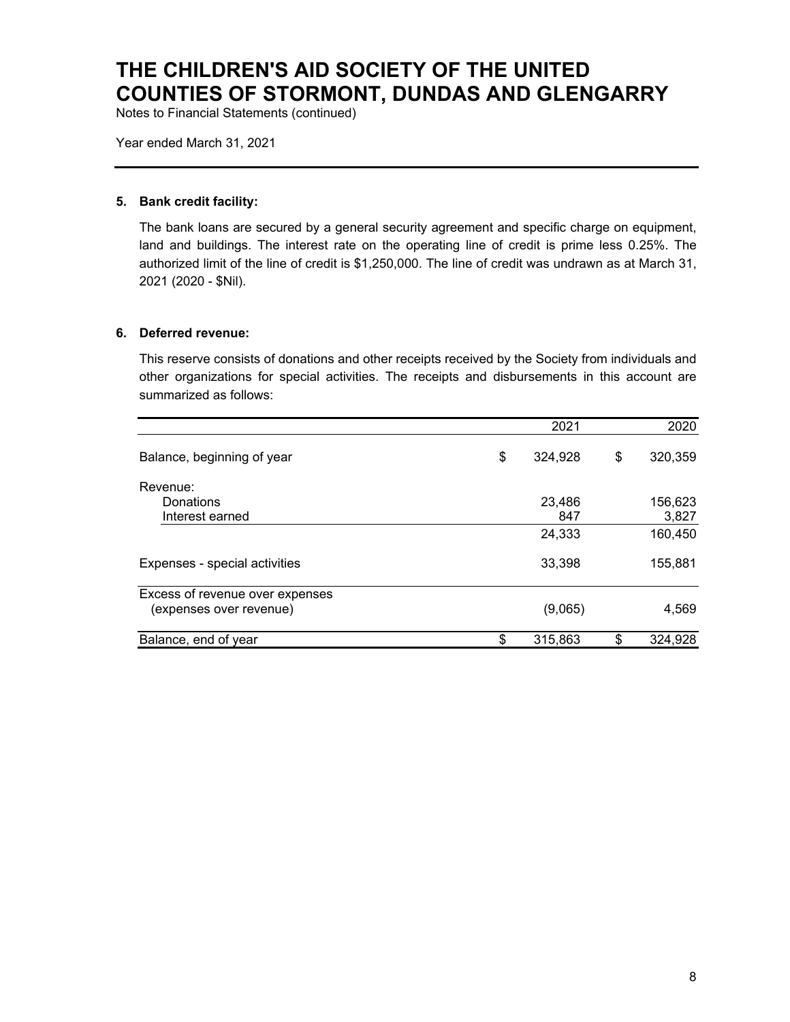Notes to Financial Statements (continued)

Year ended March 31, 2021

#### **5. Bank credit facility:**

The bank loans are secured by a general security agreement and specific charge on equipment, land and buildings. The interest rate on the operating line of credit is prime less 0.25%. The authorized limit of the line of credit is \$1,250,000. The line of credit was undrawn as at March 31, 2021 (2020 - \$Nil).

#### **6. Deferred revenue:**

This reserve consists of donations and other receipts received by the Society from individuals and other organizations for special activities. The receipts and disbursements in this account are summarized as follows:

|                                                            | 2021          | 2020          |
|------------------------------------------------------------|---------------|---------------|
| Balance, beginning of year                                 | \$<br>324,928 | \$<br>320,359 |
| Revenue:                                                   |               |               |
| Donations                                                  | 23,486        | 156,623       |
| Interest earned                                            | 847           | 3,827         |
|                                                            | 24,333        | 160,450       |
| Expenses - special activities                              | 33,398        | 155,881       |
| Excess of revenue over expenses<br>(expenses over revenue) | (9,065)       | 4,569         |
|                                                            |               |               |
| Balance, end of year                                       | \$<br>315,863 | \$<br>324,928 |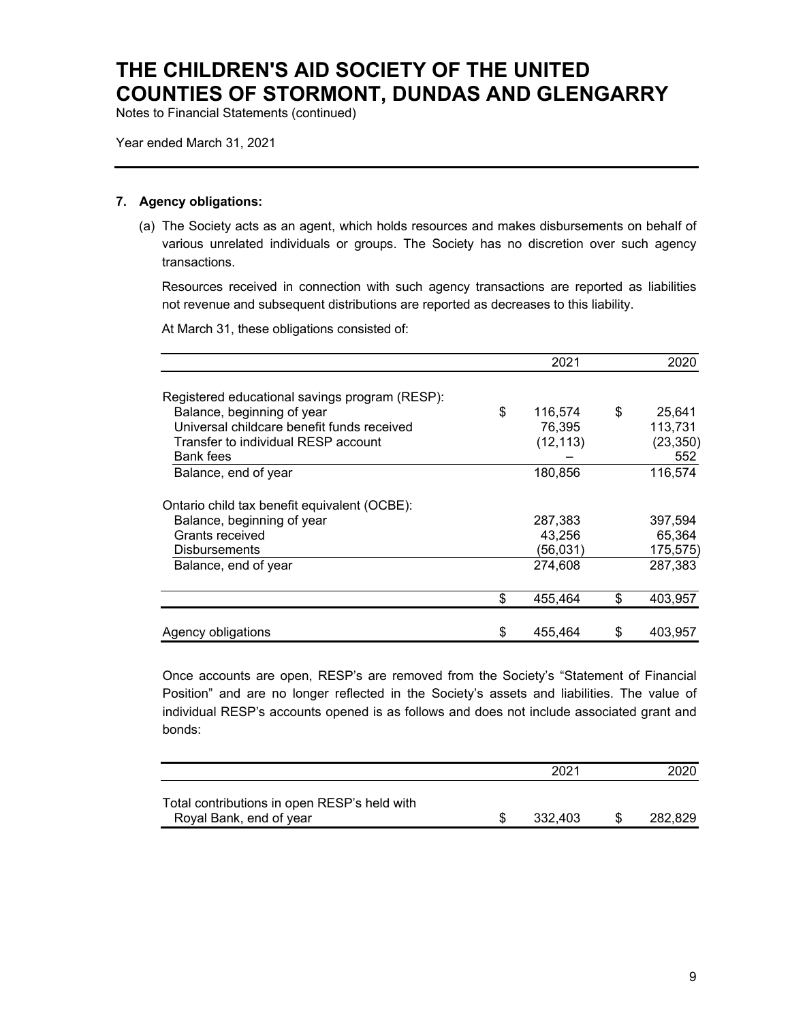Notes to Financial Statements (continued)

Year ended March 31, 2021

#### **7. Agency obligations:**

(a) The Society acts as an agent, which holds resources and makes disbursements on behalf of various unrelated individuals or groups. The Society has no discretion over such agency transactions.

Resources received in connection with such agency transactions are reported as liabilities not revenue and subsequent distributions are reported as decreases to this liability.

At March 31, these obligations consisted of:

|                                                | 2021          |    | 2020      |
|------------------------------------------------|---------------|----|-----------|
| Registered educational savings program (RESP): |               |    |           |
| Balance, beginning of year                     | \$<br>116,574 | \$ | 25,641    |
| Universal childcare benefit funds received     | 76,395        |    | 113,731   |
| Transfer to individual RESP account            | (12, 113)     |    | (23, 350) |
| Bank fees                                      |               |    | 552       |
| Balance, end of year                           | 180,856       |    | 116,574   |
| Ontario child tax benefit equivalent (OCBE):   |               |    |           |
| Balance, beginning of year                     | 287,383       |    | 397,594   |
| Grants received                                | 43,256        |    | 65,364    |
| <b>Disbursements</b>                           | (56,031)      |    | 175,575)  |
| Balance, end of year                           | 274.608       |    | 287,383   |
|                                                | 455.464       |    | 403,957   |
|                                                |               |    |           |
| Agency obligations                             | \$<br>455.464 | S  | 403.957   |

Once accounts are open, RESP's are removed from the Society's "Statement of Financial Position" and are no longer reflected in the Society's assets and liabilities. The value of individual RESP's accounts opened is as follows and does not include associated grant and bonds:

|                                                                         | 2021    | 2020    |
|-------------------------------------------------------------------------|---------|---------|
| Total contributions in open RESP's held with<br>Royal Bank, end of year | 332.403 | 282.829 |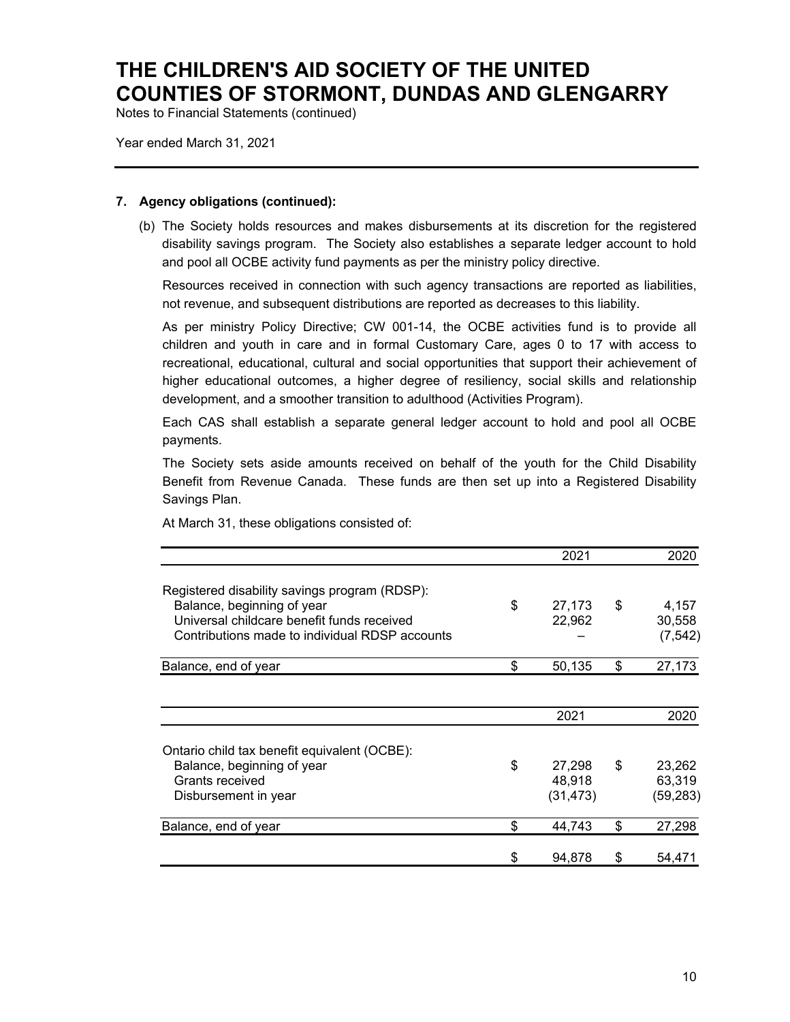Notes to Financial Statements (continued)

Year ended March 31, 2021

#### **7. Agency obligations (continued):**

(b) The Society holds resources and makes disbursements at its discretion for the registered disability savings program. The Society also establishes a separate ledger account to hold and pool all OCBE activity fund payments as per the ministry policy directive.

Resources received in connection with such agency transactions are reported as liabilities, not revenue, and subsequent distributions are reported as decreases to this liability.

As per ministry Policy Directive; CW 001-14, the OCBE activities fund is to provide all children and youth in care and in formal Customary Care, ages 0 to 17 with access to recreational, educational, cultural and social opportunities that support their achievement of higher educational outcomes, a higher degree of resiliency, social skills and relationship development, and a smoother transition to adulthood (Activities Program).

Each CAS shall establish a separate general ledger account to hold and pool all OCBE payments.

The Society sets aside amounts received on behalf of the youth for the Child Disability Benefit from Revenue Canada. These funds are then set up into a Registered Disability Savings Plan.

|                                                                                                                                                                             | 2021                                | 2020                                |
|-----------------------------------------------------------------------------------------------------------------------------------------------------------------------------|-------------------------------------|-------------------------------------|
| Registered disability savings program (RDSP):<br>Balance, beginning of year<br>Universal childcare benefit funds received<br>Contributions made to individual RDSP accounts | \$<br>27,173<br>22,962              | \$<br>4,157<br>30,558<br>(7, 542)   |
| Balance, end of year                                                                                                                                                        | \$<br>50,135                        | \$<br>27,173                        |
|                                                                                                                                                                             | 2021                                | 2020                                |
| Ontario child tax benefit equivalent (OCBE):<br>Balance, beginning of year<br><b>Grants received</b><br>Disbursement in year                                                | \$<br>27,298<br>48,918<br>(31, 473) | \$<br>23,262<br>63,319<br>(59, 283) |
| Balance, end of year                                                                                                                                                        | \$<br>44,743                        | \$<br>27,298                        |
|                                                                                                                                                                             | 94,878                              | \$<br>54,471                        |

At March 31, these obligations consisted of: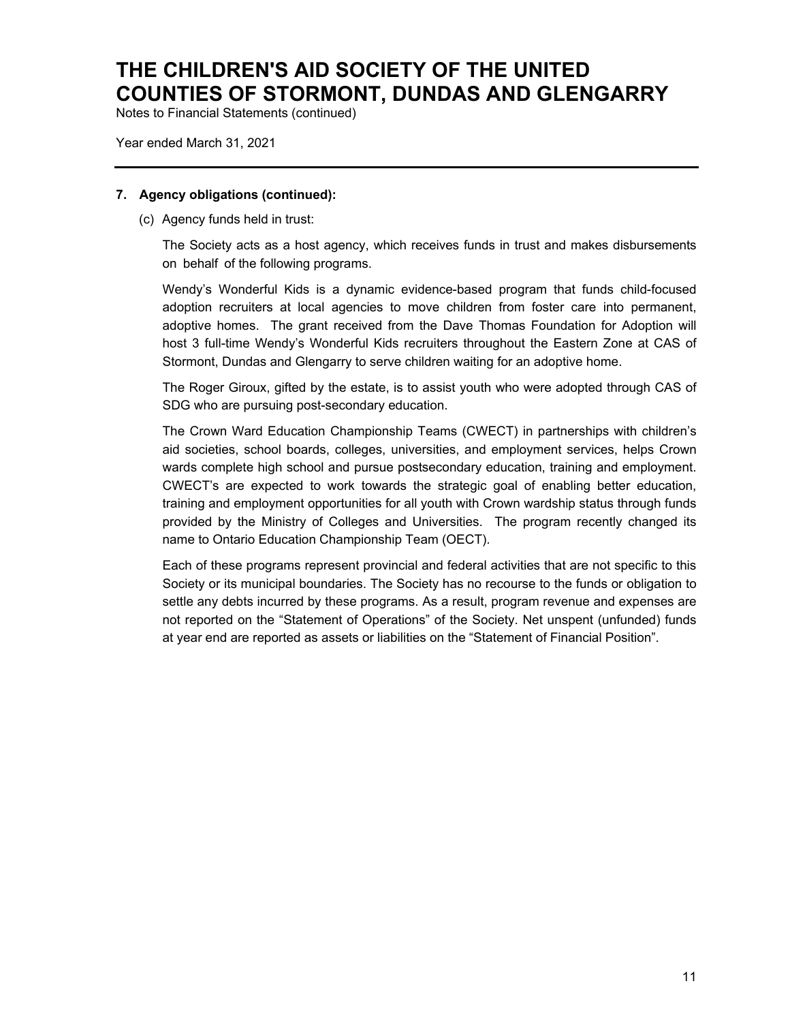Notes to Financial Statements (continued)

Year ended March 31, 2021

#### **7. Agency obligations (continued):**

(c) Agency funds held in trust:

The Society acts as a host agency, which receives funds in trust and makes disbursements on behalf of the following programs.

Wendy's Wonderful Kids is a dynamic evidence-based program that funds child-focused adoption recruiters at local agencies to move children from foster care into permanent, adoptive homes. The grant received from the Dave Thomas Foundation for Adoption will host 3 full-time Wendy's Wonderful Kids recruiters throughout the Eastern Zone at CAS of Stormont, Dundas and Glengarry to serve children waiting for an adoptive home.

The Roger Giroux, gifted by the estate, is to assist youth who were adopted through CAS of SDG who are pursuing post-secondary education.

The Crown Ward Education Championship Teams (CWECT) in partnerships with children's aid societies, school boards, colleges, universities, and employment services, helps Crown wards complete high school and pursue postsecondary education, training and employment. CWECT's are expected to work towards the strategic goal of enabling better education, training and employment opportunities for all youth with Crown wardship status through funds provided by the Ministry of Colleges and Universities. The program recently changed its name to Ontario Education Championship Team (OECT).

Each of these programs represent provincial and federal activities that are not specific to this Society or its municipal boundaries. The Society has no recourse to the funds or obligation to settle any debts incurred by these programs. As a result, program revenue and expenses are not reported on the "Statement of Operations" of the Society. Net unspent (unfunded) funds at year end are reported as assets or liabilities on the "Statement of Financial Position".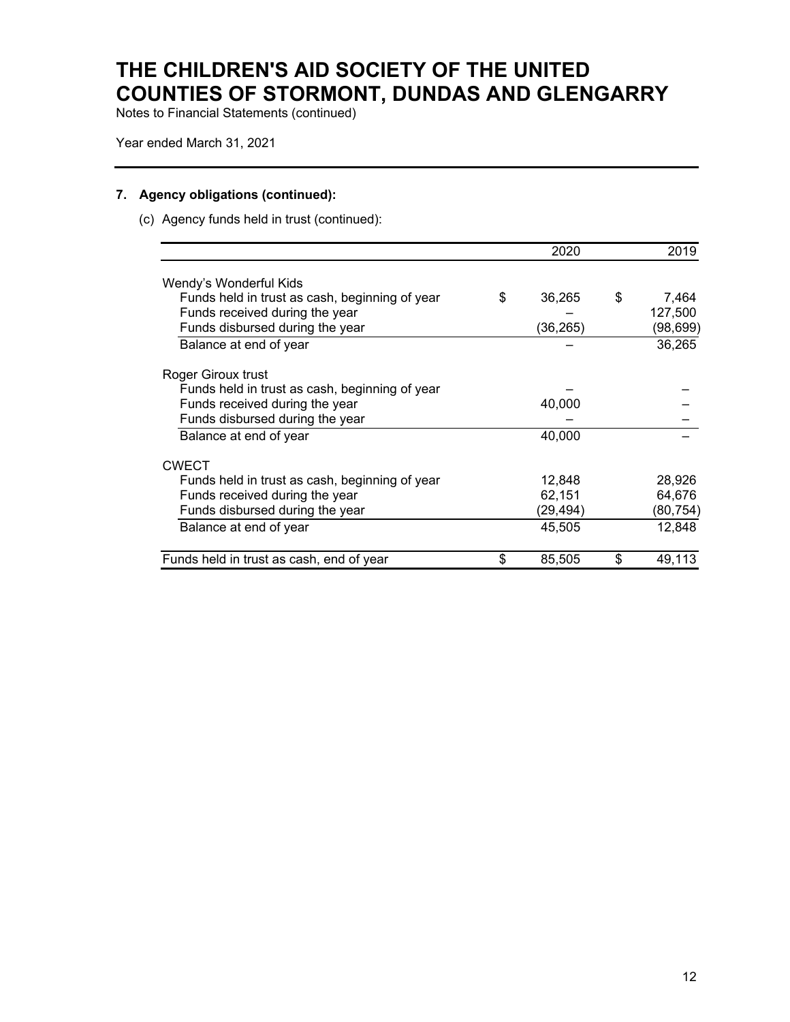Notes to Financial Statements (continued)

Year ended March 31, 2021

#### **7. Agency obligations (continued):**

(c) Agency funds held in trust (continued):

|                                                | 2020         |    | 2019     |
|------------------------------------------------|--------------|----|----------|
| Wendy's Wonderful Kids                         |              |    |          |
| Funds held in trust as cash, beginning of year | \$<br>36,265 | S  | 7,464    |
| Funds received during the year                 |              |    | 127,500  |
| Funds disbursed during the year                | (36, 265)    |    | (98,699) |
| Balance at end of year                         |              |    | 36,265   |
| Roger Giroux trust                             |              |    |          |
| Funds held in trust as cash, beginning of year |              |    |          |
| Funds received during the year                 | 40,000       |    |          |
| Funds disbursed during the year                |              |    |          |
| Balance at end of year                         | 40,000       |    |          |
| <b>CWECT</b>                                   |              |    |          |
| Funds held in trust as cash, beginning of year | 12,848       |    | 28,926   |
| Funds received during the year                 | 62,151       |    | 64,676   |
| Funds disbursed during the year                | (29,494)     |    | (80,754) |
| Balance at end of year                         | 45,505       |    | 12,848   |
| Funds held in trust as cash, end of year       | \$<br>85,505 | \$ | 49,113   |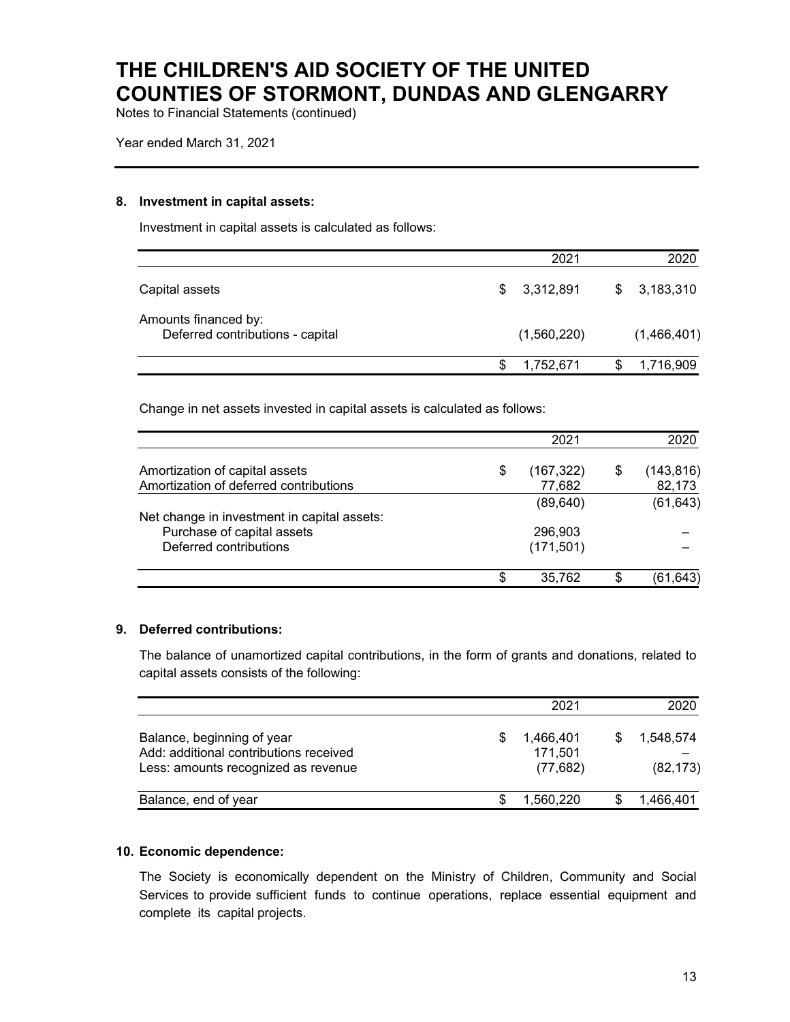Notes to Financial Statements (continued)

Year ended March 31, 2021

#### **8. Investment in capital assets:**

Investment in capital assets is calculated as follows:

|                                                          |   | 2021        |   | 2020        |
|----------------------------------------------------------|---|-------------|---|-------------|
| Capital assets                                           | S | 3,312,891   | S | 3,183,310   |
| Amounts financed by:<br>Deferred contributions - capital |   | (1,560,220) |   | (1,466,401) |
|                                                          |   | 1,752,671   |   | 1,716,909   |

Change in net assets invested in capital assets is calculated as follows:

|                                                                           | 2021                       | 2020                       |
|---------------------------------------------------------------------------|----------------------------|----------------------------|
| Amortization of capital assets<br>Amortization of deferred contributions  | \$<br>(167, 322)<br>77,682 | \$<br>(143, 816)<br>82,173 |
|                                                                           | (89, 640)                  | (61, 643)                  |
| Net change in investment in capital assets:<br>Purchase of capital assets | 296,903                    |                            |
| Deferred contributions                                                    | (171, 501)                 |                            |
|                                                                           | \$<br>35,762               |                            |

#### **9. Deferred contributions:**

The balance of unamortized capital contributions, in the form of grants and donations, related to capital assets consists of the following:

|                                                                                                             | 2021                                    | 2020                   |
|-------------------------------------------------------------------------------------------------------------|-----------------------------------------|------------------------|
| Balance, beginning of year<br>Add: additional contributions received<br>Less: amounts recognized as revenue | \$<br>1,466,401<br>171,501<br>(77, 682) | 1,548,574<br>(82, 173) |
| Balance, end of year                                                                                        | 1.560.220                               | 1,466,401              |

#### **10. Economic dependence:**

The Society is economically dependent on the Ministry of Children, Community and Social Services to provide sufficient funds to continue operations, replace essential equipment and complete its capital projects.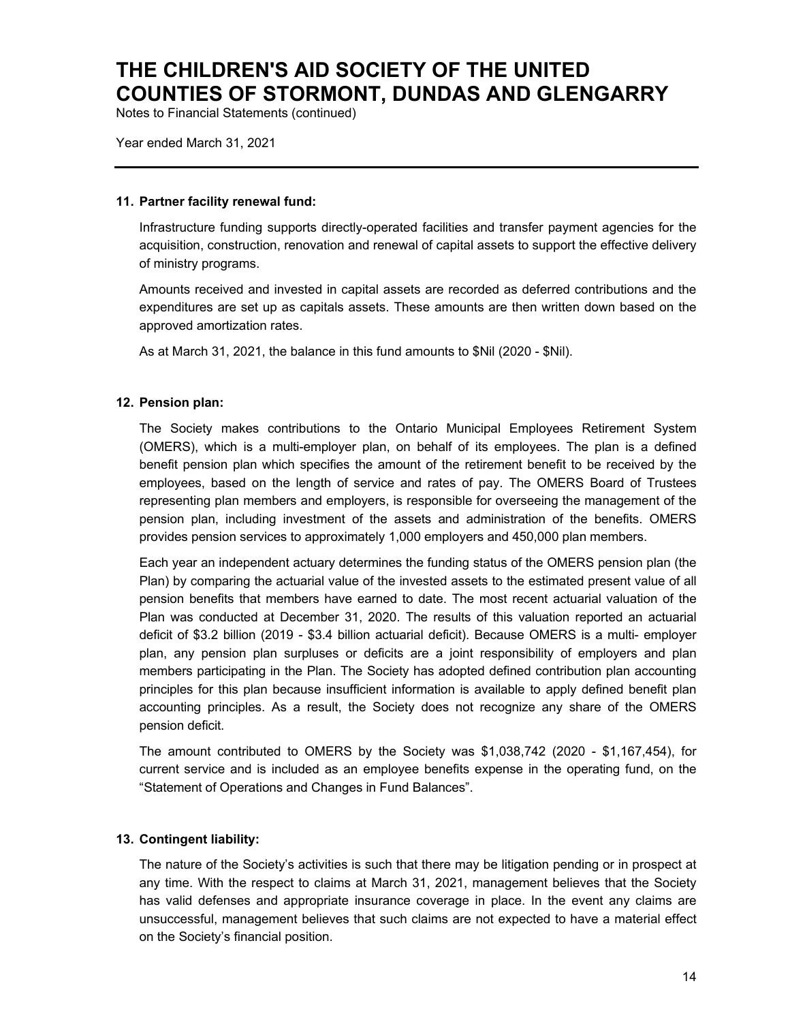Notes to Financial Statements (continued)

Year ended March 31, 2021

#### **11. Partner facility renewal fund:**

Infrastructure funding supports directly-operated facilities and transfer payment agencies for the acquisition, construction, renovation and renewal of capital assets to support the effective delivery of ministry programs.

Amounts received and invested in capital assets are recorded as deferred contributions and the expenditures are set up as capitals assets. These amounts are then written down based on the approved amortization rates.

As at March 31, 2021, the balance in this fund amounts to \$Nil (2020 - \$Nil).

#### **12. Pension plan:**

The Society makes contributions to the Ontario Municipal Employees Retirement System (OMERS), which is a multi-employer plan, on behalf of its employees. The plan is a defined benefit pension plan which specifies the amount of the retirement benefit to be received by the employees, based on the length of service and rates of pay. The OMERS Board of Trustees representing plan members and employers, is responsible for overseeing the management of the pension plan, including investment of the assets and administration of the benefits. OMERS provides pension services to approximately 1,000 employers and 450,000 plan members.

Each year an independent actuary determines the funding status of the OMERS pension plan (the Plan) by comparing the actuarial value of the invested assets to the estimated present value of all pension benefits that members have earned to date. The most recent actuarial valuation of the Plan was conducted at December 31, 2020. The results of this valuation reported an actuarial deficit of \$3.2 billion (2019 - \$3.4 billion actuarial deficit). Because OMERS is a multi- employer plan, any pension plan surpluses or deficits are a joint responsibility of employers and plan members participating in the Plan. The Society has adopted defined contribution plan accounting principles for this plan because insufficient information is available to apply defined benefit plan accounting principles. As a result, the Society does not recognize any share of the OMERS pension deficit.

The amount contributed to OMERS by the Society was \$1,038,742 (2020 - \$1,167,454), for current service and is included as an employee benefits expense in the operating fund, on the "Statement of Operations and Changes in Fund Balances".

#### **13. Contingent liability:**

The nature of the Society's activities is such that there may be litigation pending or in prospect at any time. With the respect to claims at March 31, 2021, management believes that the Society has valid defenses and appropriate insurance coverage in place. In the event any claims are unsuccessful, management believes that such claims are not expected to have a material effect on the Society's financial position.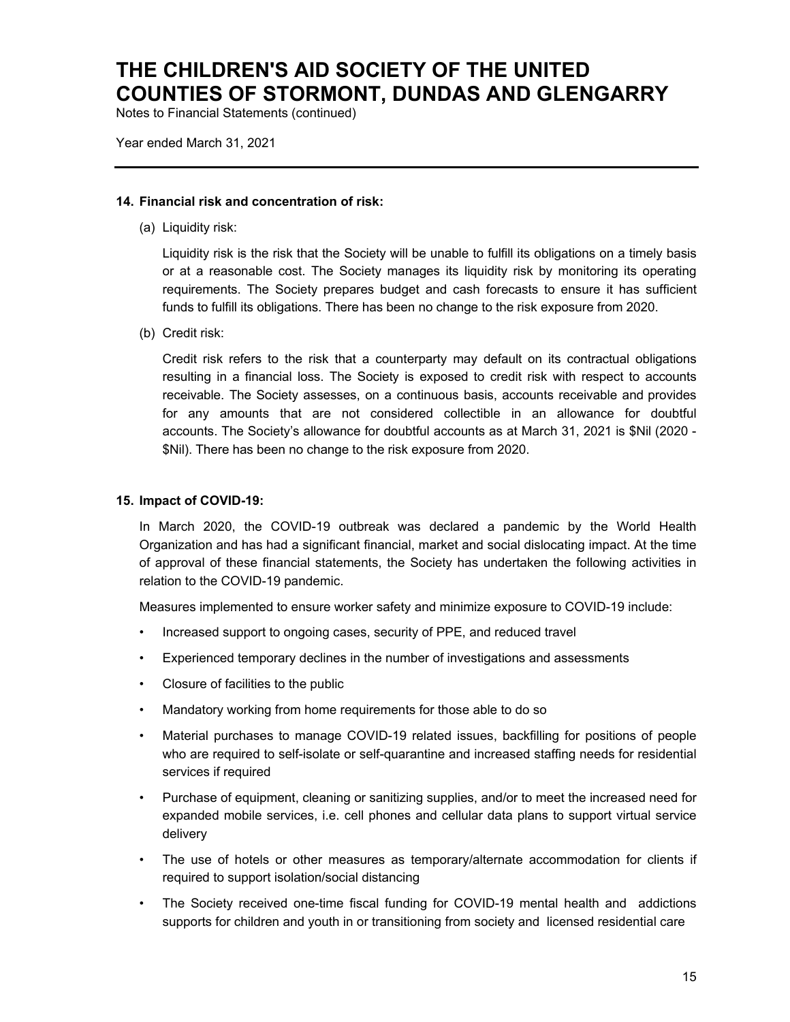Notes to Financial Statements (continued)

Year ended March 31, 2021

#### **14. Financial risk and concentration of risk:**

(a) Liquidity risk:

Liquidity risk is the risk that the Society will be unable to fulfill its obligations on a timely basis or at a reasonable cost. The Society manages its liquidity risk by monitoring its operating requirements. The Society prepares budget and cash forecasts to ensure it has sufficient funds to fulfill its obligations. There has been no change to the risk exposure from 2020.

(b) Credit risk:

Credit risk refers to the risk that a counterparty may default on its contractual obligations resulting in a financial loss. The Society is exposed to credit risk with respect to accounts receivable. The Society assesses, on a continuous basis, accounts receivable and provides for any amounts that are not considered collectible in an allowance for doubtful accounts. The Society's allowance for doubtful accounts as at March 31, 2021 is \$Nil (2020 - \$Nil). There has been no change to the risk exposure from 2020.

#### **15. Impact of COVID-19:**

In March 2020, the COVID-19 outbreak was declared a pandemic by the World Health Organization and has had a significant financial, market and social dislocating impact. At the time of approval of these financial statements, the Society has undertaken the following activities in relation to the COVID-19 pandemic.

Measures implemented to ensure worker safety and minimize exposure to COVID-19 include:

- Increased support to ongoing cases, security of PPE, and reduced travel
- Experienced temporary declines in the number of investigations and assessments
- Closure of facilities to the public
- Mandatory working from home requirements for those able to do so
- Material purchases to manage COVID-19 related issues, backfilling for positions of people who are required to self-isolate or self-quarantine and increased staffing needs for residential services if required
- Purchase of equipment, cleaning or sanitizing supplies, and/or to meet the increased need for expanded mobile services, i.e. cell phones and cellular data plans to support virtual service delivery
- The use of hotels or other measures as temporary/alternate accommodation for clients if required to support isolation/social distancing
- The Society received one-time fiscal funding for COVID-19 mental health and addictions supports for children and youth in or transitioning from society and licensed residential care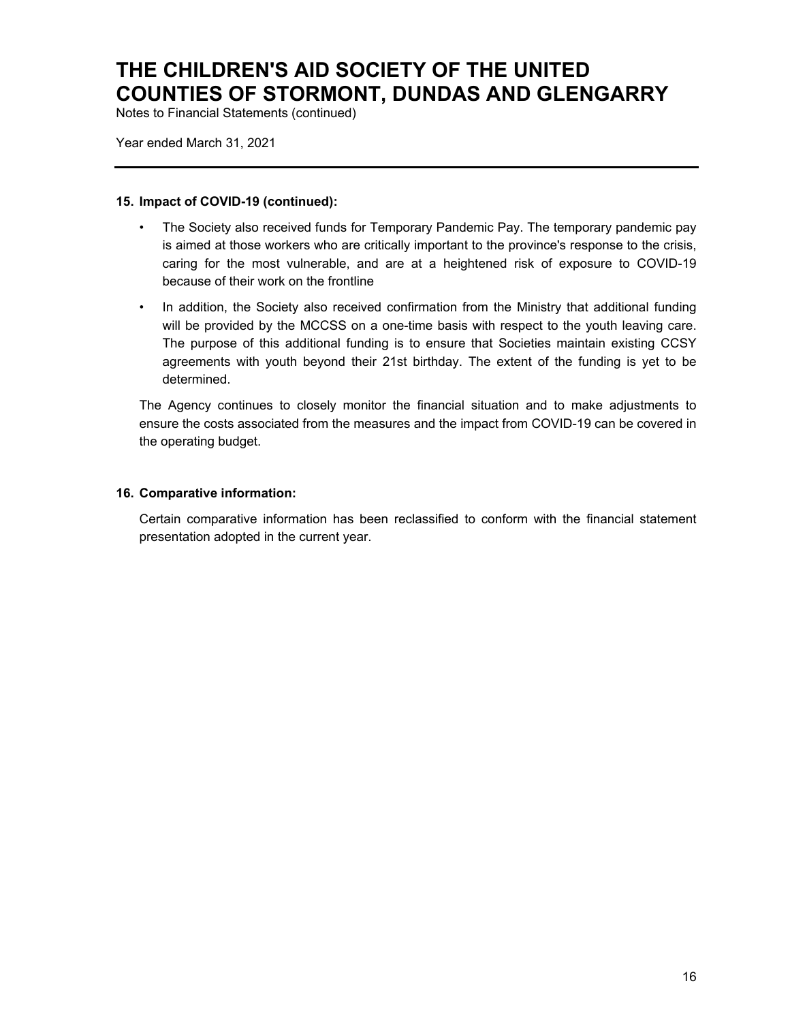Notes to Financial Statements (continued)

Year ended March 31, 2021

#### **15. Impact of COVID-19 (continued):**

- The Society also received funds for Temporary Pandemic Pay. The temporary pandemic pay is aimed at those workers who are critically important to the province's response to the crisis, caring for the most vulnerable, and are at a heightened risk of exposure to COVID-19 because of their work on the frontline
- In addition, the Society also received confirmation from the Ministry that additional funding will be provided by the MCCSS on a one-time basis with respect to the youth leaving care. The purpose of this additional funding is to ensure that Societies maintain existing CCSY agreements with youth beyond their 21st birthday. The extent of the funding is yet to be determined.

The Agency continues to closely monitor the financial situation and to make adjustments to ensure the costs associated from the measures and the impact from COVID-19 can be covered in the operating budget.

#### **16. Comparative information:**

Certain comparative information has been reclassified to conform with the financial statement presentation adopted in the current year.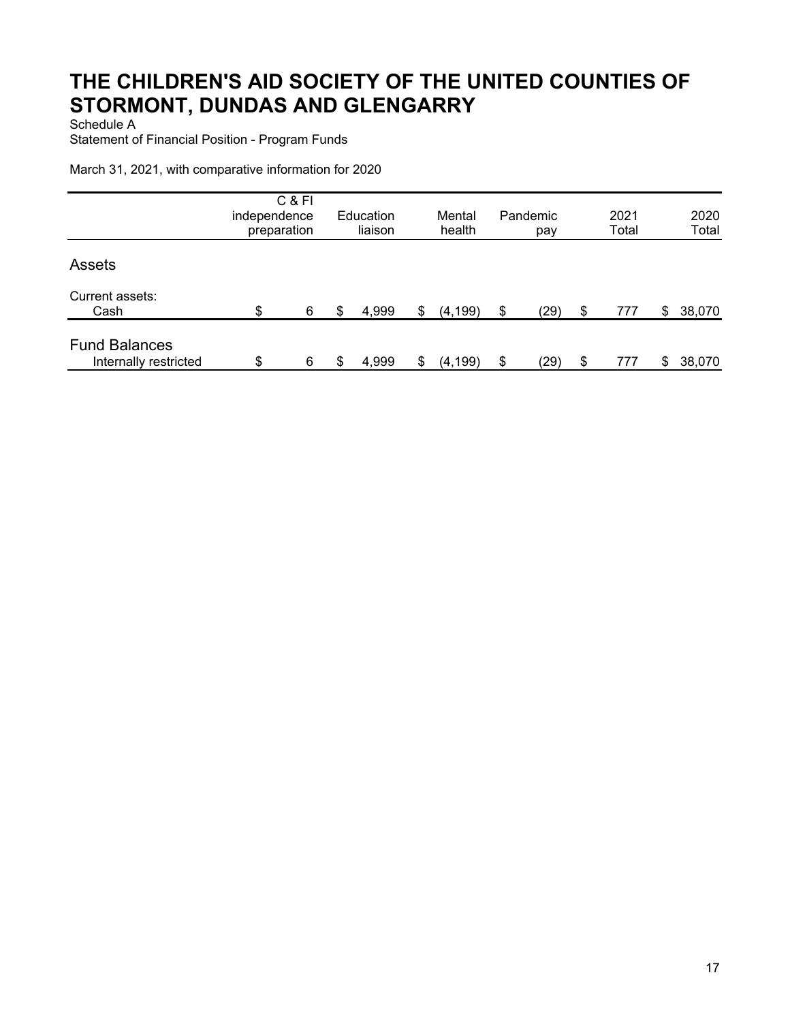Schedule A

Statement of Financial Position - Program Funds

March 31, 2021, with comparative information for 2020

|                                               | <b>C &amp; FI</b><br>independence<br>preparation |   | Education<br>liaison |       | Mental<br>health |          | Pandemic<br>pay |   | 2021<br>Total |   | 2020<br>Total |
|-----------------------------------------------|--------------------------------------------------|---|----------------------|-------|------------------|----------|-----------------|---|---------------|---|---------------|
| Assets                                        |                                                  |   |                      |       |                  |          |                 |   |               |   |               |
| Current assets:<br>Cash                       | \$                                               | 6 | \$                   | 4,999 | \$               | (4, 199) | \$<br>(29)      | S | 777           | S | 38,070        |
| <b>Fund Balances</b><br>Internally restricted | \$                                               | 6 | S                    | 4,999 | \$               | (4,199)  | \$<br>(29)      | S | 777           | S | 38,070        |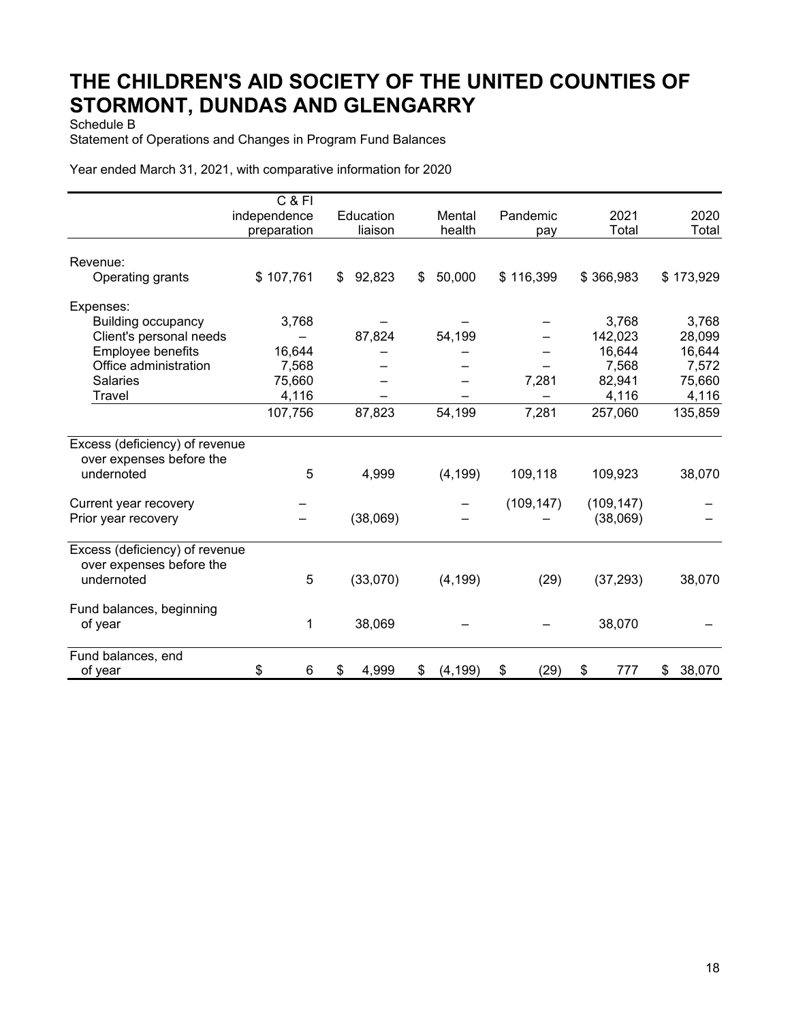Schedule B

Statement of Operations and Changes in Program Fund Balances

Year ended March 31, 2021, with comparative information for 2020

|                                | <b>C &amp; FI</b> |              |                |            |            |              |
|--------------------------------|-------------------|--------------|----------------|------------|------------|--------------|
|                                | independence      | Education    | Mental         | Pandemic   | 2021       | 2020         |
|                                | preparation       | liaison      | health         | pay        | Total      | Total        |
|                                |                   |              |                |            |            |              |
| Revenue:                       |                   |              |                |            |            |              |
| Operating grants               | \$107,761         | 92,823<br>\$ | 50,000<br>\$   | \$116,399  | \$366,983  | \$173,929    |
| Expenses:                      |                   |              |                |            |            |              |
| <b>Building occupancy</b>      | 3,768             |              |                |            | 3,768      | 3,768        |
| Client's personal needs        |                   | 87,824       | 54,199         |            | 142,023    | 28,099       |
| Employee benefits              | 16,644            |              |                |            | 16,644     | 16,644       |
| Office administration          | 7,568             |              |                |            | 7,568      | 7,572        |
| <b>Salaries</b>                | 75,660            |              |                | 7,281      | 82,941     | 75,660       |
| Travel                         | 4,116             |              |                |            | 4,116      | 4,116        |
|                                | 107,756           | 87,823       | 54,199         | 7,281      | 257,060    | 135,859      |
| Excess (deficiency) of revenue |                   |              |                |            |            |              |
| over expenses before the       |                   |              |                |            |            |              |
| undernoted                     | 5                 | 4,999        | (4, 199)       | 109,118    | 109,923    | 38,070       |
| Current year recovery          |                   |              |                | (109, 147) | (109, 147) |              |
| Prior year recovery            |                   | (38,069)     |                |            | (38,069)   |              |
| Excess (deficiency) of revenue |                   |              |                |            |            |              |
| over expenses before the       |                   |              |                |            |            |              |
| undernoted                     | 5                 | (33,070)     | (4, 199)       | (29)       | (37, 293)  | 38,070       |
| Fund balances, beginning       |                   |              |                |            |            |              |
| of year                        | 1                 | 38,069       |                |            | 38,070     |              |
| Fund balances, end             |                   |              |                |            |            |              |
| of year                        | \$<br>6           | \$<br>4,999  | \$<br>(4, 199) | \$<br>(29) | \$<br>777  | 38,070<br>\$ |